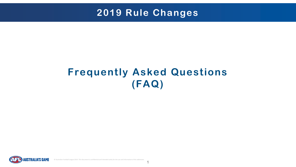© Australian Football League 2014. This document is confidential and intended solely for the use and information of the addressee.

# **Frequently Asked Questions (FAQ)**



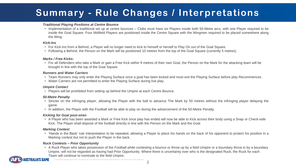## **Summary - Rule Changes / Interpretations**

### *Traditional Playing Positions at Centre Bounce*

• Implementation of a traditional set up at centre bounces – Clubs must have six Players inside both 50-Metre arcs, with one Player required to be inside the Goal Square. Four Midfield Players are positioned inside the Centre Square with the Wingmen required to be placed somewhere along

the Wing.

### *Kick-Ins*

- For Kick-Ins from a Behind, a Player will no longer need to kick to himself or herself to Play On out of the Goal Square.
- 

• Following a Behind, the Person on the Mark will be positioned 10 metres from the top of the Goal Square (currently 5 metres).

• For all Defenders who take a Mark or gain a Free Kick within 9 metres of their own Goal, the Person on the Mark for the attacking team will be

#### *Marks / Free Kicks:*

brought in line with the top of the Goal Square.

#### *Runners and Water Carriers*

• Team Runners may only enter the Playing Surface once a goal has been kicked and must exit the Playing Surface before play Recommences.

- 
- Water Carriers are not permitted to enter the Playing Surface during live play.

#### *Umpire Contact*

• Players will be prohibited from setting up behind the Umpire at each Centre Bounce.

#### *50-Metre Penalty*

• Stricter on the infringing player, allowing the Player with the ball to advance The Mark by 50 metres without the infringing player delaying the

- game.
- In addition, the Player with the Football will be able to play on during the advancement of the 50-Metre Penalty.

#### *Kicking for Goal post-siren*

• A Player who has been awarded a Mark or Free Kick once play has ended will now be able to Kick across their body using a Snap or Check-side

Kick. The Player shall dispose of the football directly in line with the Person on the Mark and the Goal.

#### *Marking Contest*

• 'Hands in the Back' rule interpretation to be repealed, allowing a Player to place his hands on the back of his opponent to protect his position in a

Marking contest but not to push the Player in the back.

#### *Ruck Contests – Prior Opportunity*

• A Ruck Player who takes possession of the Football while contesting a bounce or throw up by a field Umpire or a boundary throw in by a boundary Umpire, will not be regarded as having had Prior Opportunity. Where there is uncertainty over who is the designated Ruck, the Ruck for each

Team will continue to nominate to the field Umpire.



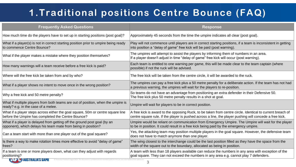# **1.Traditional positions Centre Bounce (FAQ)**

| <b>Frequently Asked Questions</b>                                                                                                         | <b>Response</b>                                                                                                                |
|-------------------------------------------------------------------------------------------------------------------------------------------|--------------------------------------------------------------------------------------------------------------------------------|
| How much time do the players have to set up in starting positions (post goal)?                                                            | Approximately 45 seconds from the time the umpire indica                                                                       |
| What if a player(s) is not in correct starting position prior to umpire being ready<br>to commence Centre Bounce?                         | Play will not commence until players are in correct starting<br>into position a "delay of game" free kick will be paid (post v |
| What if the player makes a mistake where they position themselves?                                                                        | The umpires will attempt to assist the players by informing<br>If a player doesn't adjust in time "delay of game" free kick \  |
| How many warnings will a team receive before a free kick is paid?                                                                         | Each team is entitled to one warning per game, this will be<br>possible) if not the ruck will be advised.                      |
| Where will the free kick be taken from and by who?                                                                                        | The free kick will be taken from the centre circle, it will be a                                                               |
| What if a player shows no intent to move once in the wrong position?                                                                      | The umpires can pay a free kick plus a 50 metre penalty fo<br>a previous warning, the umpires will wait for the players to     |
| Why a free kick and 50 metre penalty?                                                                                                     | So teams do not have an advantage from positioning an example.<br>The free kick plus 50 metre penalty results in a shot at goa |
| What if multiple players from both teams are out of position, when the umpire is<br>ready? e.g. in the case of a melee.                   | Umpire will wait for players to be in correct position.                                                                        |
| What if a player steps across either the goal square, 50m or centre square line<br>before the Umpire has completed the Centre Bounce?     | A free kick is award to the opposing Ruck, to be taken from<br>centre square rule. If the player is pushed across a line, th   |
| What if a player is delayed from getting off the ground post goal (by an<br>opponent), which delays his team mate from being in position? | Umpire would be reliant on communication from Emergeno<br>to be in position. It could result in a free kick being paid by      |
| Can a team start with more than one player out of the goal square?                                                                        | Yes, the attacking team may position multiple players in th<br>does not have to match anymore than one player.                 |
| Is there a way to make rotation times more effective to avoid "delay of game"<br>frees?                                                   | The wing closest to the interchange could be the last posit<br>width of the square out to the boundary, allocated as being     |
| If a team is one or more players down, what can they adjust with regards<br>positioning?                                                  | A team with less than 18 players available can reduce the<br>goal square. They can not exceed the numbers in any area          |



roximately 45 seconds from the time the umpire indicates all clear (post goal).

will not commence until players are in correct starting positions, if a team is inconsistent in getting position a "delay of game" free kick will be paid (post warning).

umpires will attempt to assist the players by informing them of numbers in an area. player doesn't adjust in time "delay of game" free kick will occur (post warning).

n team is entitled to one warning per game, this will be made clear to the team captain (where sible) if not the ruck will be advised.

free kick will be taken from the centre circle, it will be awarded to the ruck.

umpires can pay a free kick plus a 50 metre penalty for a deliberate action. If the team has not had evious warning, the umpires will wait for the players to re-position.

eams do not have an advantage from positioning an extra defender in their Defensive 50. free kick plus 50 metre penalty results in a shot at goal.

ee kick is award to the opposing Ruck, to be taken from centre circle. Identical to current breach of tre square rule. If the player is pushed across a line, the player pushing will concede a free kick.

bire would be reliant on communication from Emergency Umpire. The Umpire will wait for the player e in position. It could result in a free kick being paid by the emergency umpire.

the attacking team may position multiple players in the goal square. However, the defensive team s not have to match anymore than one player.

wing closest to the interchange could be the last position filled as they have the space from the h of the square out to the boundary, allocated as being in position.

am with less than 18 players available can reduce the numbers in any area with exception of the square. They can not exceed the numbers in any area e.g. cannot play 7 defenders.

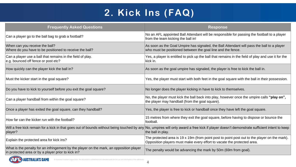# **2. Kick Ins (FAQ)**

### **Frequently Asked Questions**

| Can a player go to the ball bag to grab a football?                                                                                           | No an AFL appointed Ball Attendant will be responsible for passing the football to a player<br>from the team kicking the ball in!                                                                               |
|-----------------------------------------------------------------------------------------------------------------------------------------------|-----------------------------------------------------------------------------------------------------------------------------------------------------------------------------------------------------------------|
| When can you receive the ball?<br>Where do you have to be positioned to receive the ball?                                                     | As soon as the Goal Umpire has signaled, the Ball Attendant will pass the ball to a player<br>who must be positioned between the goal line and the fence.                                                       |
| Can a player use a ball that remains in the field of play.<br>e.g. bounced off fence or post etc?                                             | Yes, a player is entitled to pick up the ball that remains in the field of play and use it for the<br>kick in.                                                                                                  |
| How quickly can the player kick the ball in?                                                                                                  | As soon as the goal umpire has signaled, the player is free to kick the ball in.                                                                                                                                |
| Must the kicker start in the goal square?                                                                                                     | Yes, the player must start with both feet in the goal square with the ball in their possession.                                                                                                                 |
| Do you have to kick to yourself before you exit the goal square?                                                                              | No longer does the player kicking in have to kick to themselves.                                                                                                                                                |
| Can a player handball from within the goal square?                                                                                            | No, the player must kick the ball back into play, however once the umpire calls "play on",<br>the player may handball (from the goal square).                                                                   |
| Once a player has exited the goal square, can they handball?                                                                                  | Yes, the player is free to kick or handball once they have left the goal square.                                                                                                                                |
| How far can the kicker run with the football?                                                                                                 | 15 metres from where they exit the goal square, before having to dispose or bounce the<br>football.                                                                                                             |
| player?                                                                                                                                       | Will a free kick remain for a kick in that goes out of bounds without being touched by any No, umpires will only award a free kick if player doesn't demonstrate sufficient intent to keep<br>the ball in play. |
| Explain the protected area for kick ins?                                                                                                      | The protected area is 19 x 19m (from point post to point post out to the player on the mark).<br>Opposition players must make every effort to vacate the protected area.                                        |
| What is the penalty for an infringement by the player on the mark, an opposition player<br>in protected area or by a player prior to kick in? | The penalty would be advancing the mark by 50m (69m from goal).                                                                                                                                                 |
| <b>Alliance</b>                                                                                                                               |                                                                                                                                                                                                                 |



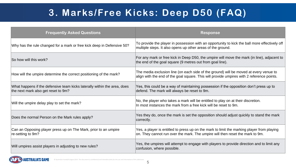## **3. Marks/Free Kicks: Deep D50 (FAQ)**

| <b>Frequently Asked Questions</b>                                                                               |                   |
|-----------------------------------------------------------------------------------------------------------------|-------------------|
| Why has the rule changed for a mark or free kick deep in Defensive 50?                                          | <b>Tc</b><br>m    |
| So how will this work?                                                                                          | Fc<br>th          |
| How will the umpire determine the correct positioning of the mark?                                              | Τŀ<br>ali         |
| What happens if the defensive team kicks laterally within the area, does<br>the next mark also get reset to 9m? | Ye<br>$d\epsilon$ |
| Will the umpire delay play to set the mark?                                                                     | N<br>$\ln$        |
| Does the normal Person on the Mark rules apply?                                                                 | $Y\epsilon$<br>CO |
| Can an Opposing player press up on The Mark, prior to an umpire<br>re-setting to 9m?                            | Ye<br>on          |
| Will umpires assist players in adjusting to new rules?                                                          | Ye<br>CO          |



### **Response**

o provide the player in possession with an opportunity to kick the ball more effectively off ultiple steps. It also opens up other areas of the ground.

or any mark or free kick in Deep D50, the umpire will move the mark (in line), adjacent to e end of the goal square (9 metres out from goal line).

he media exclusion line (on each side of the ground) will be moved at every venue to ign with the end of the goal square. This will provide umpires with 2 reference points.

es, this could be a way of maintaining possession if the opposition don't press up to efend. The mark will always be reset to 9m.

o, the player who takes a mark will be entitled to play on at their discretion. most instances the mark from a free kick will be reset to 9m.

es they do, once the mark is set the opposition should adjust quickly to stand the mark rrectly.

es, a player is entitled to press up on the mark to limit the marking player from playing n. They cannot run over the mark. The umpire will then reset the mark to 9m.

es, the umpires will attempt to engage with players to provide direction and to limit any nfusion, where possible.

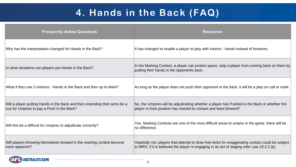# **4. Hands in the Back (FAQ)**

has changed to enable a player to play with instinct - hands instead of forearms.

the Marking Contest, a player can protect space, stop a player from coming back on them by tting their hands in the opponents back.

long as the player does not push their opponent in the back, it will be a play on call or mark.

the Umpires will be adjudicating whether a player has Pushed in the Back or whether the ayer in front position has reacted to contact and leant forward?

es, Marking Contests are one of the most difficult areas to umpire in the game, there will be difference.

ppefully not, players that attempt to draw free kicks for exaggerating contact could be subject MRO, if it is believed the player is engaging in an act of staging refer Law 19.2.2 (p)



| <b>Frequently Asked Questions</b>                                                                                        | <b>Response</b>                                                                                                       |
|--------------------------------------------------------------------------------------------------------------------------|-----------------------------------------------------------------------------------------------------------------------|
| Why has the interpretation changed for Hands in the Back?                                                                | It has changed to enable a player to play with instinct                                                               |
| In what situations can players put Hands in the Back?                                                                    | In the Marking Contest, a player can protect space, st<br>putting their hands in the opponents back.                  |
| What if they use 2 motions - Hands in the Back and then up to Mark?                                                      | As long as the player does not push their opponent in                                                                 |
| Will a player putting Hands in the Back and then extending their arms be a<br>cue for Umpires to pay a Push in the Back? | No, the Umpires will be adjudicating whether a player<br>player in front position has reacted to contact and lear     |
| Will this be a difficult for Umpires to adjudicate correctly?                                                            | Yes, Marking Contests are one of the most difficult are<br>no difference.                                             |
| Will players throwing themselves forward in the marking contest become<br>more apparent?                                 | Hopefully not, players that attempt to draw free kicks to<br>to MRO, if it is believed the player is engaging in an a |



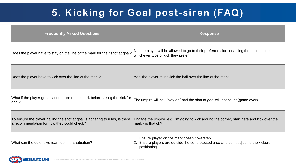### **Response**

the player will be allowed to go to their preferred side, enabling them to choose ichever type of kick they prefer.

s, the player must kick the ball over the line of the mark.

e umpire will call "play on" and the shot at goal will not count (game over).

gage the umpire e.g. I'm going to kick around the corner, start here and kick over the  $n**rk**$  - is that ok?

# **5. Kicking for Goal post-siren (FAQ)**

Ensure player on the mark doesn't overstep Ensure players are outside the set protected area and don't adjust to the kickers positioning.

| <b>Frequently Asked Questions</b>                                                                                         |            |
|---------------------------------------------------------------------------------------------------------------------------|------------|
| Does the player have to stay on the line of the mark for their shot at goal?                                              | No,<br>whi |
| Does the player have to kick over the line of the mark?                                                                   | Yes        |
| What if the player goes past the line of the mark before taking the kick for<br>goal?                                     | The        |
| To ensure the player having the shot at goal is adhering to rules, is there<br>a recommendation for how they could check? | Eng<br>ma  |
| What can the defensive team do in this situation?                                                                         | 2.         |

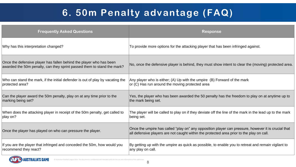# **6. 50m Penalty advantage (FAQ)**

| Why has this interpretation changed?<br>Once the defensive player has fallen behind the player who has been<br>awarded the 50m penalty, can they sprint passed them to stand the mark?<br>Who can stand the mark, if the initial defender is out of play by vacating the<br>or $(C)$ Has run around the moving protected area<br>protected area?<br>Can the player award the 50m penalty, play on at any time prior to the<br>the mark being set.<br>marking being set? | <b>Frequently Asked Questions</b> | <b>Response</b>                                                                                                       |
|-------------------------------------------------------------------------------------------------------------------------------------------------------------------------------------------------------------------------------------------------------------------------------------------------------------------------------------------------------------------------------------------------------------------------------------------------------------------------|-----------------------------------|-----------------------------------------------------------------------------------------------------------------------|
|                                                                                                                                                                                                                                                                                                                                                                                                                                                                         |                                   | To provide more options for the attacking player that has                                                             |
|                                                                                                                                                                                                                                                                                                                                                                                                                                                                         |                                   | No, once the defensive player is behind, they must show                                                               |
|                                                                                                                                                                                                                                                                                                                                                                                                                                                                         |                                   | Any player who is either; (A) Up with the umpire (B) For                                                              |
|                                                                                                                                                                                                                                                                                                                                                                                                                                                                         |                                   | Yes, the player who has been awarded the 50 penalty ha                                                                |
| When does the attacking player in receipt of the 50m penalty, get called to<br>play on?<br>being set.                                                                                                                                                                                                                                                                                                                                                                   |                                   | The player will be called to play on if they deviate off the                                                          |
| Once the player has played on who can pressure the player.                                                                                                                                                                                                                                                                                                                                                                                                              |                                   | Once the umpire has called "play on" any opposition plat<br>all defensive players are not caught within the protected |
| If you are the player that infringed and conceded the 50m, how would you<br>recommend they react?<br>any play on call.                                                                                                                                                                                                                                                                                                                                                  |                                   | By getting up with the umpire as quick as possible, to en                                                             |

**USTRALIA'S GAME** 

rovide more options for the attacking player that has been infringed against.

ance the defensive player is behind, they must show intent to clear the (moving) protected area.

blayer who is either; (A) Up with the umpire  $(B)$  Forward of the mark ) Has run around the moving protected area

the player who has been awarded the 50 penalty has the freedom to play on at anytime up to ark being set.

blayer will be called to play on if they deviate off the line of the mark in the lead up to the mark set.

the umpire has called "play on" any opposition player can pressure, however it is crucial that fensive players are not caught within the protected area prior to the play on call.

etting up with the umpire as quick as possible, to enable you to retreat and remain vigilant to blay on call.

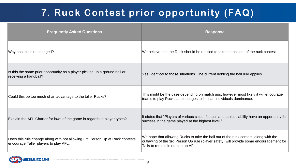Why has this rule changed? The Muslim Contest when the Ruck should be entitled to take the ball out of the ruck contest.

# **7. Ruck Contest prior opportunity (FAQ)**

**Frequently Asked Questions Response** 

Is this the same prior opportunity as a player picking up a ground ball or receiving a handball?<br>
The current holding the ball rule applies.<br>
The current holding the ball rule applies.

Could this be too much of an advantage to the taller Rucks? This might be the case depending on match ups, however most likely it will encourage teams to play Rucks at stoppages to limit an individuals dominance.

Explain the AFL Charter for laws of the game in regards to player types?<br>It states that "Players of various sizes, football and athletic ability have an opportunity for explain the Athletic ability have an opportunity for success in the game played at the highest level."

Does this rule change along with not allowing 3rd Person Up at Ruck contests encourage Taller players to play AFL. We hope that allowing Rucks to take the ball out of the ruck contest, along with the outlawing of the 3rd Person Up rule (player safety) will provide some encouragement for Talls to remain in or take up AFL.



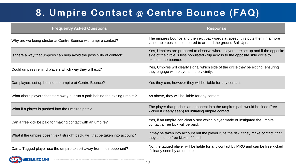# **8. Umpire Contact @ Centre Bounce (FAQ)**

### **Frequently Asked Questions Response**

Why are we being stricter at Centre Bounce with umpire contact?<br>Why are we being stricter at Centre Bounce with umpire contact? vulnerable position compared to around the ground Ball Ups.

Is there a way that umpires can help avoid the possibility of contact?

Yes, Umpires are prepared to observe where players are set up and if the opposite side of the circle is less populated - flip across to the opposite side circle to execute the bounce.

What if a player is pushed into the umpires path?<br>
What if a player that pushes an opponent into the umpires path would be fined (free kicked if clearly seen) for initiating umpire contact.

Can a free kick be paid for making contact with an umpire?<br>Can a free kick be paid for making contact with an umpire? contact a free kick will be paid.

What if the umpire doesn't exit straight back, will that be taken into account?<br>It may be taken into account but the player runs the risk if they make contact, that they could be free kicked / fined.

Could umpires remind players which way they will exit? Yes, Umpires will clearly signal which side of the circle they be exiting, ensuring they engage with players in the vicinity.

Can players set up behind the umpire at Centre Bounce? Yes they can, however they will be liable for any contact.

What about players that start away but run a path behind the exiting umpire?  $|As above,$  they will be liable for any contact.

Can a Tagged player use the umpire to split away from their opponent?<br>Can a Tagged player use the umpire to split away from their opponent? if clearly seen by an umpire.

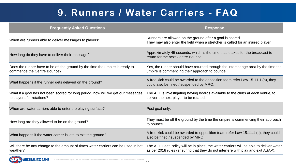## **9. Runners / Water Carriers - FAQ**

**Frequently Asked Questions** 

**USTRALIA'S GAME** 



| When are runners able to deliver messages to players?                                                         | Runners are allowed on the ground after a goal is scored.<br>They may also enter the field when a stretcher is called for an injured player.                               |
|---------------------------------------------------------------------------------------------------------------|----------------------------------------------------------------------------------------------------------------------------------------------------------------------------|
| How long do they have to deliver their message?                                                               | Approximately 45 seconds, which is the time that it takes for the broadcast to<br>return for the next Centre Bounce.                                                       |
| Does the runner have to be off the ground by the time the umpire is ready to<br>commence the Centre Bounce?   | Yes, the runner should have returned through the interchange area by the time the<br>umpire is commencing their approach to bounce.                                        |
| What happens if the runner gets delayed on the ground?                                                        | A free kick could be awarded to the opposition team refer Law 15.11.1 (b), they<br>could also be fined / suspended by MRO.                                                 |
| What if a goal has not been scored for long period, how will we get our messages<br>to players for rotations? | The AFL is investigating having boards available to the clubs at each venue, to<br>deliver the next player to be rotated.                                                  |
| When are water carriers able to enter the playing surface?                                                    | Post goal only.                                                                                                                                                            |
| How long are they allowed to be on the ground?                                                                | They must be off the ground by the time the umpire is commencing their approach<br>to bounce.                                                                              |
| What happens if the water carrier is late to exit the ground?                                                 | A free kick could be awarded to opposition team refer Law 15.11.1 (b), they could<br>also be fined / suspended by MRO.                                                     |
| Will there be any change to the amount of times water carriers can be used in hot<br>weather?                 | The AFL Heat Policy will be in place, the water carriers will be able to deliver water<br>as per 2018 rules (ensuring that they do not interfere with play and exit ASAP). |
|                                                                                                               |                                                                                                                                                                            |

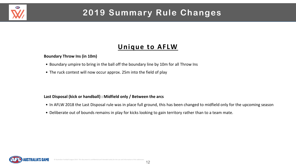## **2019 Summary Rule Changes**

### **Unique to AFLW**

### **Boundary Throw Ins (in 10m)**

- Boundary umpire to bring in the ball off the boundary line by 10m for all Throw Ins
- The ruck contest will now occur approx. 25m into the field of play

### **Last Disposal (kick or handball) : Midfield only / Between the arcs**

- In AFLW 2018 the Last Disposal rule was in place full ground, this has been changed to midfield only for the upcoming season
- Deliberate out of bounds remains in play for kicks looking to gain territory rather than to a team mate.



**AFD**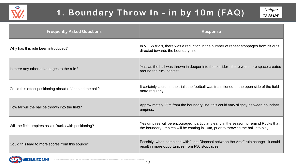

### **Frequently Asked Questions Response**



Why has this rule been introduced? **In VELW trials**, there was a reduction in the number of repeat stoppages from hit outs directed towards the boundary line.

Could this effect positioning ahead of / behind the ball?<br>
It certainly could, in the trials the football was transitioned to the open side of the field more regularly.

How far will the ball be thrown into the field? Approximately 25m from the boundary line, this could vary slightly between boundary umpires.

Is there any other advantages to the rule? Yes, as the ball was thrown in deeper into the corridor - there was more space created around the ruck contest.

Will the field umpires assist Rucks with positioning?<br>Will the have denoming will be encouraged, particularly early in the season to remind Rucks that the boundary umpires will be coming in 10m, prior to throwing the ball into play.

Could this lead to more scores from this source? Possibly, when combined with "Last Disposal between the Arcs" rule change - it could result in more opportunities from F50 stoppages.

## **1. Boundary Throw In - in by 10m (FAQ)**